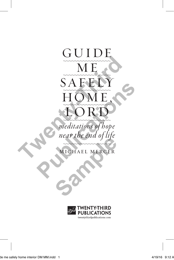

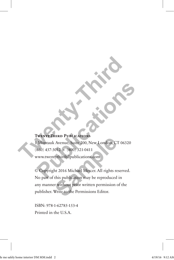#### **Twenty-Third Publications**

1 Montauk Avenue, Suite 200, New London, CT 06320 (860) 437-3012 » (800) 321-0411 www.twentythirdrdpublications.com **TWENTY-THIRD PUBLICATIONS**<br> **I Montauk Avenue, Suite 200, New London, CT 063:**<br>
(860) 437-3012  $\times$  (800) 321-0411<br>
www.twentythirdrdpublications.com **PUBLICATIONS**<br> **PUBLICATIONS**<br>
Montauk Avenue, Suite 200, New London, CT 06320<br>
860) 437-3012 » (800) 321-0411<br>
PUBLICATIONS<br>
PUBLICATIONS CONTRACTED: All rights reserved.<br>
PUBLICATIONS AND DRIVER CONTRACTED ON THE PUBLIC

© Copyright 2016 Michael Mercer. All rights reserved. No part of this publication may be reproduced in any manner without prior written permission of the publisher. Write to the Permissions Editor. The London, C. Avenue, Suite 200, New London, C.<br>
1912 × (800) 321-0411<br> **Sample 1912 × (800) 321-0411**<br> **Sample 1916 Michael Mercer. All rights reference this publication may be reproduced**<br>
The without prior written perm

ISBN: 978-1-62785-153-4 Printed in the U.S.A.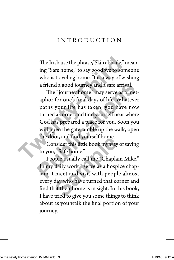### introduction

The Irish use the phrase,"Slán abhaile," meaning "Safe home," to say goodbye to someone who is traveling home. It is a way of wishing a friend a good journey and a safe arrival.

The "journey home" may serve as a metaphor for one's final days of life. Whatever paths your life has taken, you have now turned a corner and find yourself near where God has prepared a place for you. Soon you will open the gate, amble up the walk, open the door, and find yourself home. The Irish use the phrase,"Slán abhaile," n<br>ing "Safe home," to say goodbye to som<br>who is traveling home. It is a way of wis<br>a friend a good journey and a safe arriv<br>The "journey home" may serve as a<br>aphor for one's final d a friend a good journey and a safe arrival.<br>The "journey home" may serve as a met-<br>aphor for one's final days of life. Whatever<br>paths your life has taken, you have now<br>turned a corner and find yourself near where<br>God has p

Consider this little book my way of saying to you, "Safe home."

People usually call me "Chaplain Mike." In my daily work I serve as a hospice chaplain. I meet and visit with people almost every day who have turned that corner and find that their home is in sight. In this book, I have tried to give you some things to think about as you walk the final portion of your journey. or, and this little book my way<br>, "Safe home."<br>Pople usually call me "Chapla"<br>daily work I serve as a hosp<br>meet and visit with peopl<br>day who have turned that co<br>at their home is in sight. In t<br>tried to give you some thing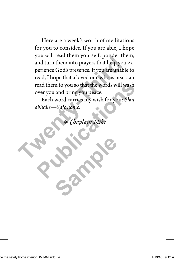Here are a week's worth of meditations for you to consider. If you are able, I hope you will read them yourself, ponder them, and turn them into prayers that help you experience God's presence. If you are unable to read, I hope that a loved one who is near can read them to you so that the words will wash over you and bring you peace. For which teachers that help you perience God's presence. If you are unable read, I hope that a loved one who is near read them to you so that the words will wave over you and bring you peace.<br>Each word carries my wish for

Each word carries my wish for you: *Sl*á*n abhaile—Safe home.* read them to you so that the words will wash<br>over you and bring you peace.<br>Each word carries my wish for you: Slán<br>ubhaile—Safe home.<br>\*\*\* Chaplain Mike

• *Chaplain Mike*

Sample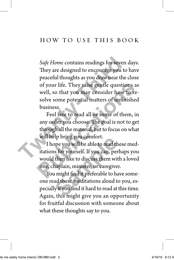*Safe Home* contains readings for seven days. They are designed to encourage you to have peaceful thoughts as you draw near the close of your life. They raise gentle questions as well, so that you may consider how to resolve some potential matters of unfinished business. Safe Home contains readings for seven<br>They are designed to encourage you to<br>peaceful thoughts as you draw near the<br>of your life. They raise gentle questio<br>well, so that you may consider how t<br>solve some potential matters o

Feel free to read all or some of them, in any order you choose. The goal is not to get through all the material, but to focus on what will help bring you comfort. of your life. They raise gentle questions as<br>well, so that you may consider how to re-<br>solve some potential matters of unfinished<br>business.<br>Feel free to read all or some of them, in<br>any order you choose. The goal is not to

I hope you will be able to read these meditations for yourself. If you can, perhaps you would then like to discuss them with a loved one, chaplain, minister, or caregiver. rip bring you connort.<br>ppe you will be able to read the s for yourself. If you can, per<br>then like to discuss them with<br>aplain, minister, or caregive<br>in might find it preferable to had<br>these meditations aloud t<br>y if you fin

You might find it preferable to have someone read these meditations aloud to you, especially if you find it hard to read at this time. Again, this might give you an opportunity for fruitful discussion with someone about what these thoughts say to you.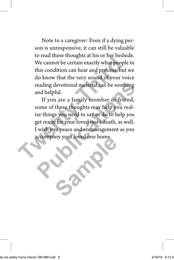Note to a caregiver: Even if a dying person is unresponsive, it can still be valuable to read these thoughts at his or her bedside. We cannot be certain exactly what people in this condition can hear and process, but we do know that the very sound of your voice reading devotional material can be soothing and helpful.

If you are a family member or friend, some of these thoughts may help you realize things you need to say or do to help *you* get ready for your loved one's death, as well. I wish you peace and encouragement as you accompany your loved one home. We cannot be certain exactly what people<br>this condition can hear and process, but<br>do know that the very sound of your vo<br>reading devotional material can be sooth<br>and helpful.<br>If you are a family member or fries<br>some of the reading devotional material can be soothing<br>
and helpful.<br>
If you are a family member or friend,<br>
some of these thoughts may help you real-<br>
ze things you need to say or do to help *you*<br>
get ready for your loved one's dea **Sample Reversite Roome.**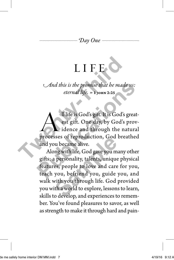# LIFE.

*And this is the promise that he made us: eternal life.* » 1 john 2:25

Il life is God's gift. It is God's great-<br>
est gift. One day, by God's prov-<br>
idence and through the natural est gift. One day, by God's provprocesses of reproduction, God breathed and you became alive. LIFE<br> *And this is the promise that he made*<br> *eternal life.* » **1** JOHN 2:25<br> *M* Il life is God's gift. It is God's and<br>
est gift. One day, by God's p<br>
idence and through the na<br>
processes of reproduction, God brea<br>
and *And this is the promise that he made us:*<br>*eternal life.* » 1 JOHN 2:25<br>Il life is God's gift. It is God's great-<br>est gift. One day, by God's prov-<br>idence and through the natural<br>processes of reproduction, God breathed<br>an

Along with life, God gave you many other gifts: a personality, talents, unique physical features, people to love and care for you, teach you, befriend you, guide you, and walk with you through life. God provided you with a world to explore, lessons to learn, skills to develop, and experiences to remember. You've found pleasures to savor, as well as strength to make it through hard and painby the difference of the production, God<br>in the difference of the production, God<br>in personality, talents, unique<br>es, people to love and care<br>you, befriend you, guide<br>with you through life. God<br>ith a world to explore, less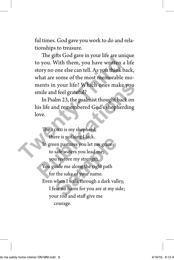ful times. God gave you work to do and relationships to treasure.

The gifts God gave in your life are unique to you. With them, you have written a life story no one else can tell. As you think back, what are some of the most memorable moments in your life? Which ones make you smile and feel grateful? In gins dod give in your life and<br>to you. With them, you have written a l<br>story no one else can tell. As you think ba<br>what are some of the most memorable n<br>ments in your life? Which ones make y<br>smile and feel grateful?<br>In

In Psalm 23, the psalmist thought back on his life and remembered God's shepherding love.

The LORD is my shepherd, there is nothing I lack. In green pastures you let me graze; to safe waters you lead me; you restore my strength. You guide me along the right path for the sake of your name. Even when I walk through a dark valley, I fear no harm for you are at my side; your rod and staff give me courage. ments in your life? Which ones make you<br>
imile and feel grateful?<br>
In Psalm 23, the psalmist thought back on<br>
is life and remembered God's shepherding<br>
ove.<br>
The LORD is my shepherd,<br>
there is nothing I lack.<br>
In green pas ere is nothing Flack.<br>
en pastures you let me graze;<br>
safe waters you lead me;<br>
u restore my strength.<br>
uide me along the right path<br>
r the sake of your name.<br>
when I walk through a dark vall<br>
ear no harm for you are at my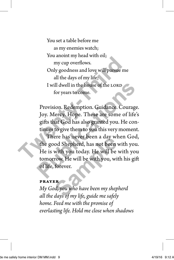You set a table before me as my enemies watch; You anoint my head with oil; my cup overflows. Only goodness and love will pursue me all the days of my life; I will dwell in the house of the LORD for years to come. my cup overflows.<br>
Only goodness and love will pursue meant the days of my life;<br>
I will dwell in the house of the LORD<br>
for years to come.<br>
Provision. Redemption. Guidance. Cou<br>
Joy. Mercy. Hope. These are some of<br>
gifts

Provision. Redemption. Guidance. Courage. Joy. Mercy. Hope. These are some of life's gifts that God has also granted you. He continues to give them to you this very moment.

There has never been a day when God, the good Shepherd, has not been with you. He is with you today. He will be with you tomorrow. He will be with you, with his gift of life, forever. I will dwell in the house of the LORD<br>for years to come.<br>Provision. Redemption. Guidance. Courage.<br>Joy. Mercy. Hope. These are some of life's<br>gifts that God has also granted you. He con-<br>tinues to give them to you this ver Ele has hever been a day wide<br>of Shepherd, has not been<br>with you today. He will be<br>row. He will be with you, wi<br>forever.<br>**ER**<br>*Bays of my life, guide me safely* 

#### **prayer**

*My God, you who have been my shepherd all the days of my life, guide me safely home. Feed me with the promise of everlasting life. Hold me close when shadows*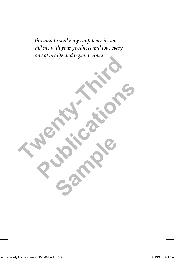*threaten to shake my confidence in you. Fill me with your goodness and love every day of my life and beyond. Amen.* **The Site of the Sea** 

**Publications** 

Sample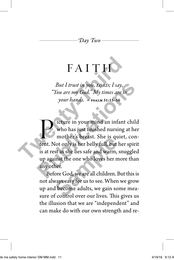#### *Day Two*

## FAITH

*But I trust in you, lord; I say, "You are my God." My times are in your hands.* » psalm 31:15–16

icture in your mind an infant child who has just finished nursing at her mother's breast. She is quiet, content. Not only is her belly full, but her spirit is at rest as she lies safe and warm, snuggled up against the one who loves her more than any other. FAITH<br>
But I trust in you, LORD; I say,<br>
"You are my God." My times are in<br>
your hands. » PSALM 31:15-16<br>
Your hands. » PSALM 31:15-16<br>
This who has just finished nursing a<br>
mother's breast. She is quiet,<br>
tent. Not only i But I trust in you, LORD; I say,<br>
"You are my God." My times are in<br>
your bands. » PSALM 31:15-16<br>
Your bands. » PSALM 31:15-16<br>
Ticture in your mind an infant child<br>
who has just finished nursing at her<br>
mother's breast. Thomer's breast. She is qu<br>Not only is her belly full, but<br>st as she lies safe and warm,<br>inst the one who loves her n<br>her.<br>Yore God, we are all children.<br>Nays easy for us to see. When<br>the become adults, we gain sc<br>f contro

Before God, we are all children. But this is not always easy for us to see. When we grow up and become adults, we gain some measure of control over our lives. This gives us the illusion that we are "independent" and can make do with our own strength and re-